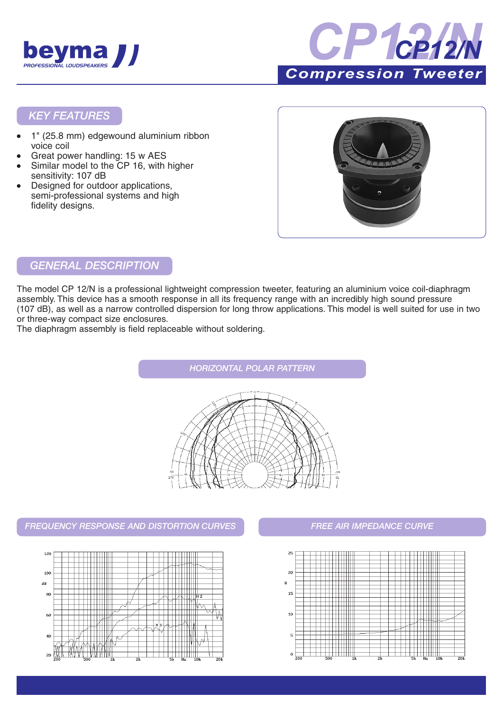



### *KEY FEATURES*

- 1" (25.8 mm) edgewound aluminium ribbon voice coil
- Great power handling: 15 w AES
- Similar model to the CP 16, with higher sensitivity: 107 dB
- Designed for outdoor applications, semi-professional systems and high fidelity designs.



## *GENERAL DESCRIPTION*

The model CP 12/N is a professional lightweight compression tweeter, featuring an aluminium voice coil-diaphragm assembly. This device has a smooth response in all its frequency range with an incredibly high sound pressure (107 dB), as well as a narrow controlled dispersion for long throw applications. This model is well suited for use in two or three-way compact size enclosures.

The diaphragm assembly is field replaceable without soldering.

*HORIZONTAL POLAR PATTERN*

*FREQUENCY RESPONSE AND DISTORTION CURVES FREE AIR IMPEDANCE CURVE*